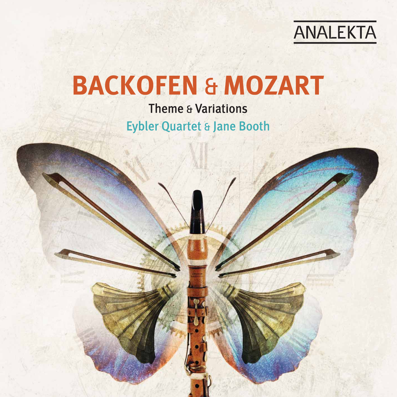

# **BACKOFEN & MOZART**

# **Theme & Variations Eybler Quartet & Jane Booth**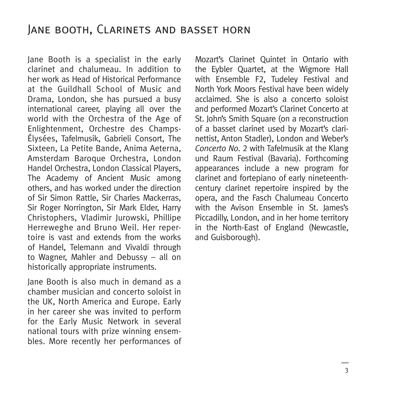### Jane booth, Clarinets and basset horn

Jane Booth is a specialist in the early clarinet and chalumeau. In addition to her work as Head of Historical Performance at the Guildhall School of Music and Drama, London, she has pursued a busy international career, playing all over the world with the Orchestra of the Age of Enlightenment, Orchestre des Champs-Élysées, Tafelmusik, Gabrieli Consort, The Sixteen, La Petite Bande, Anima Aeterna, Amsterdam Baroque Orchestra, London Handel Orchestra, London Classical Players, The Academy of Ancient Music among others, and has worked under the direction of Sir Simon Rattle, Sir Charles Mackerras, Sir Roger Norrington, Sir Mark Elder, Harry Christophers, Vladimir Jurowski, Phillipe Herreweghe and Bruno Weil. Her repertoire is vast and extends from the works of Handel, Telemann and Vivaldi through to Wagner, Mahler and Debussy – all on historically appropriate instruments.

Jane Booth is also much in demand as a chamber musician and concerto soloist in the UK, North America and Europe. Early in her career she was invited to perform for the Early Music Network in several national tours with prize winning ensembles. More recently her performances of Mozart's Clarinet Quintet in Ontario with the Eybler Quartet, at the Wigmore Hall with Ensemble F2, Tudeley Festival and North York Moors Festival have been widely acclaimed. She is also a concerto soloist and performed Mozart's Clarinet Concerto at St. John's Smith Square (on a reconstruction of a basset clarinet used by Mozart's clarinettist, Anton Stadler), London and Weber's *Concerto No.* 2 with Tafelmusik at the Klang und Raum Festival (Bavaria). Forthcoming appearances include a new program for clarinet and fortepiano of early nineteenthcentury clarinet repertoire inspired by the opera, and the Fasch Chalumeau Concerto with the Avison Ensemble in St. James's Piccadilly, London, and in her home territory in the North-East of England (Newcastle, and Guisborough).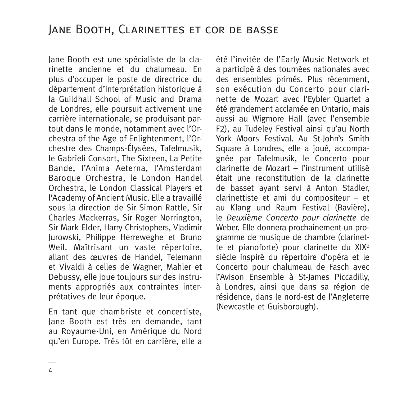# Jane Booth, Clarinettes et cor de basse

Jane Booth est une spécialiste de la clarinette ancienne et du chalumeau. En plus d'occuper le poste de directrice du département d'interprétation historique à la Guildhall School of Music and Drama de Londres, elle poursuit activement une carrière internationale, se produisant partout dans le monde, notamment avec l'Orchestra of the Age of Enlightenment, l'Orchestre des Champs-Élysées, Tafelmusik, le Gabrieli Consort, The Sixteen, La Petite Bande, l'Anima Aeterna, l'Amsterdam Baroque Orchestra, le London Handel Orchestra, le London Classical Players et l'Academy of Ancient Music. Elle a travaillé sous la direction de Sir Simon Rattle, Sir Charles Mackerras, Sir Roger Norrington, Sir Mark Elder, Harry Christophers, Vladimir Jurowski, Philippe Herreweghe et Bruno Weil. Maîtrisant un vaste répertoire, allant des œuvres de Handel, Telemann et Vivaldi à celles de Wagner, Mahler et Debussy, elle joue toujours sur des instruments appropriés aux contraintes interprétatives de leur époque.

En tant que chambriste et concertiste, Jane Booth est très en demande, tant au Royaume-Uni, en Amérique du Nord qu'en Europe. Très tôt en carrière, elle a

été l'invitée de l'Early Music Network et a participé à des tournées nationales avec des ensembles primés. Plus récemment, son exécution du Concerto pour clarinette de Mozart avec l'Eybler Quartet a été grandement acclamée en Ontario, mais aussi au Wigmore Hall (avec l'ensemble F2), au Tudeley Festival ainsi qu'au North York Moors Festival. Au St-John's Smith Square à Londres, elle a joué, accompagnée par Tafelmusik, le Concerto pour clarinette de Mozart – l'instrument utilisé était une reconstitution de la clarinette de basset ayant servi à Anton Stadler, clarinettiste et ami du compositeur – et au Klang und Raum Festival (Bavière), le *Deuxième Concerto pour clarinette* de Weber. Elle donnera prochainement un programme de musique de chambre (clarinette et pianoforte) pour clarinette du XIXe siècle inspiré du répertoire d'opéra et le Concerto pour chalumeau de Fasch avec l'Avison Ensemble à St-James Piccadilly, à Londres, ainsi que dans sa région de résidence, dans le nord-est de l'Angleterre (Newcastle et Guisborough).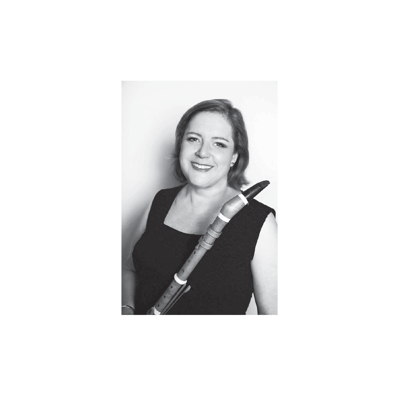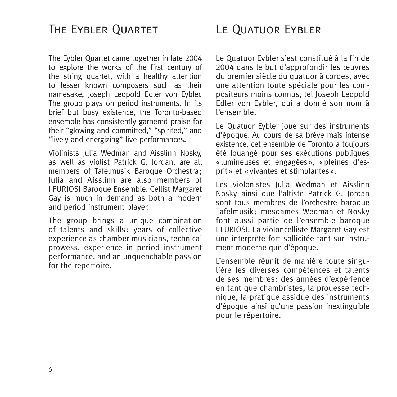### THE EYBLER QUARTET LE QUATUOR EYBLER

The Eybler Quartet came together in late 2004 to explore the works of the first century of the string quartet, with a healthy attention to lesser known composers such as their namesake, Joseph Leopold Edler von Eybler. The group plays on period instruments. In its brief but busy existence, the Toronto-based ensemble has consistently garnered praise for their "glowing and committed," "spirited," and "lively and energizing" live performances.

Violinists Julia Wedman and Aisslinn Nosky, as well as violist Patrick G. Jordan, are all members of Tafelmusik Baroque Orchestra ; Julia and Aisslinn are also members of I FURIOSI Baroque Ensemble. Cellist Margaret Gay is much in demand as both a modern and period instrument player.

The group brings a unique combination of talents and skills: years of collective experience as chamber musicians, technical prowess, experience in period instrument performance, and an unquenchable passion for the repertoire.

Le Quatuor Eybler s'est constitué à la fin de 2004 dans le but d'approfondir les œuvres du premier siècle du quatuor à cordes, avec une attention toute spéciale pour les compositeurs moins connus, tel Joseph Leopold Edler von Eybler, qui a donné son nom à l'ensemble.

Le Quatuor Eybler joue sur des instruments d'époque. Au cours de sa brève mais intense existence, cet ensemble de Toronto a toujours été louangé pour ses exécutions publiques « lumineuses et engagées », « pleines d'esprit » et « vivantes et stimulantes ».

Les violonistes Julia Wedman et Aisslinn Nosky ainsi que l'altiste Patrick G. Jordan sont tous membres de l'orchestre baroque Tafelmusik; mesdames Wedman et Nosky font aussi partie de l'ensemble baroque I FURIOSI. La violoncelliste Margaret Gay est une interprète fort sollicitée tant sur instrument moderne que d'époque.

L'ensemble réunit de manière toute singulière les diverses compétences et talents de ses membres: des années d'expérience en tant que chambristes, la prouesse technique, la pratique assidue des instruments d'époque ainsi qu'une passion inextinguible pour le répertoire.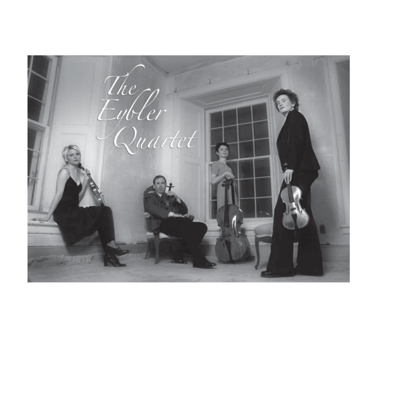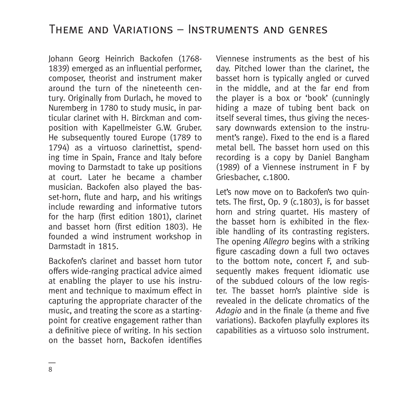## Theme and Variations – Instruments and genres

Johann Georg Heinrich Backofen (1768- 1839) emerged as an influential performer, composer, theorist and instrument maker around the turn of the nineteenth century. Originally from Durlach, he moved to Nuremberg in 1780 to study music, in particular clarinet with H. Birckman and composition with Kapellmeister G.W. Gruber. He subsequently toured Europe (1789 to 1794) as a virtuoso clarinettist, spending time in Spain, France and Italy before moving to Darmstadt to take up positions at court. Later he became a chamber musician. Backofen also played the basset-horn, flute and harp, and his writings include rewarding and informative tutors for the harp (first edition 1801), clarinet and basset horn (first edition 1803). He founded a wind instrument workshop in Darmstadt in 1815.

Backofen's clarinet and basset horn tutor offers wide-ranging practical advice aimed at enabling the player to use his instrument and technique to maximum effect in capturing the appropriate character of the music, and treating the score as a startingpoint for creative engagement rather than a definitive piece of writing. In his section on the basset horn, Backofen identifies Viennese instruments as the best of his day. Pitched lower than the clarinet, the basset horn is typically angled or curved in the middle, and at the far end from the player is a box or 'book' (cunningly hiding a maze of tubing bent back on itself several times, thus giving the necessary downwards extension to the instrument's range). Fixed to the end is a flared metal bell. The basset horn used on this recording is a copy by Daniel Bangham (1989) of a Viennese instrument in F by Griesbacher, c.1800.

Let's now move on to Backofen's two quintets. The first, Op. 9 ( $c.1803$ ), is for basset horn and string quartet. His mastery of the basset horn is exhibited in the flexible handling of its contrasting registers. The opening *Allegro* begins with a striking figure cascading down a full two octaves to the bottom note, concert F, and subsequently makes frequent idiomatic use of the subdued colours of the low register. The basset horn's plaintive side is revealed in the delicate chromatics of the Adagio and in the finale (a theme and five variations). Backofen playfully explores its capabilities as a virtuoso solo instrument.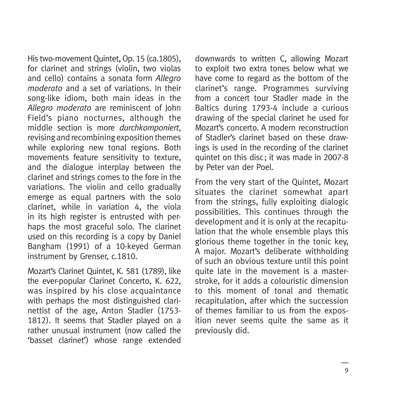His two-movement Quintet, Op. 15 (ca.1805), for clarinet and strings (violin, two violas and cello) contains a sonata form *Allegro moderato* and a set of variations. In their song-like idiom, both main ideas in the *Allegro moderato* are reminiscent of John Field's piano nocturnes, although the middle section is more *durchkomponiert*, revising and recombining exposition themes while exploring new tonal regions. Both movements feature sensitivity to texture, and the dialogue interplay between the clarinet and strings comes to the fore in the variations. The violin and cello gradually emerge as equal partners with the solo clarinet, while in variation 4, the viola in its high register is entrusted with perhaps the most graceful solo. The clarinet used on this recording is a copy by Daniel Bangham (1991) of a 10-keyed German instrument by Grenser, c.1810.

Mozart's Clarinet Quintet, K. 581 (1789), like the ever-popular Clarinet Concerto, K. 622, was inspired by his close acquaintance with perhaps the most distinguished clarinettist of the age, Anton Stadler (1753- 1812). It seems that Stadler played on a rather unusual instrument (now called the 'basset clarinet') whose range extended downwards to written C, allowing Mozart to exploit two extra tones below what we have come to regard as the bottom of the clarinet's range. Programmes surviving from a concert tour Stadler made in the Baltics during 1793-4 include a curious drawing of the special clarinet he used for Mozart's concerto. A modern reconstruction of Stadler's clarinet based on these drawings is used in the recording of the clarinet quintet on this disc; it was made in 2007-8 by Peter van der Poel.

From the very start of the Quintet, Mozart situates the clarinet somewhat apart from the strings, fully exploiting dialogic possibilities. This continues through the development and it is only at the recapitulation that the whole ensemble plays this glorious theme together in the tonic key, A major. Mozart's deliberate withholding of such an obvious texture until this point quite late in the movement is a masterstroke, for it adds a colouristic dimension to this moment of tonal and thematic recapitulation, after which the succession of themes familiar to us from the exposition never seems quite the same as it previously did.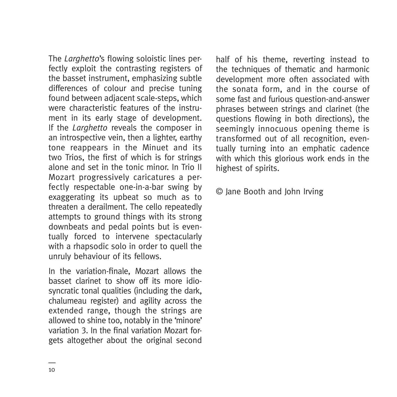The *Larghetto*'s flowing soloistic lines perfectly exploit the contrasting registers of the basset instrument, emphasizing subtle differences of colour and precise tuning found between adjacent scale-steps, which were characteristic features of the instrument in its early stage of development. If the *Larghetto* reveals the composer in an introspective vein, then a lighter, earthy tone reappears in the Minuet and its two Trios, the first of which is for strings alone and set in the tonic minor. In Trio II Mozart progressively caricatures a perfectly respectable one-in-a-bar swing by exaggerating its upbeat so much as to threaten a derailment. The cello repeatedly attempts to ground things with its strong downbeats and pedal points but is eventually forced to intervene spectacularly with a rhapsodic solo in order to quell the unruly behaviour of its fellows.

In the variation-finale, Mozart allows the basset clarinet to show off its more idiosyncratic tonal qualities (including the dark, chalumeau register) and agility across the extended range, though the strings are allowed to shine too, notably in the 'minore' variation 3. In the final variation Mozart forgets altogether about the original second

half of his theme, reverting instead to the techniques of thematic and harmonic development more often associated with the sonata form, and in the course of some fast and furious question-and-answer phrases between strings and clarinet (the questions flowing in both directions), the seemingly innocuous opening theme is transformed out of all recognition, eventually turning into an emphatic cadence with which this glorious work ends in the highest of spirits.

© Jane Booth and John Irving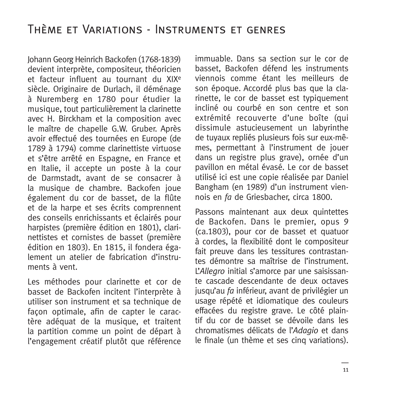### Thème et Variations - Instruments et genres

Johann Georg Heinrich Backofen (1768-1839) devient interprète, compositeur, théoricien et facteur influent au tournant du XIX<sup>e</sup> siècle. Originaire de Durlach, il déménage à Nuremberg en 1780 pour étudier la musique, tout particulièrement la clarinette avec H. Birckham et la composition avec le maître de chapelle G.W. Gruber. Après avoir effectué des tournées en Europe (de 1789 à 1794) comme clarinettiste virtuose et s'être arrêté en Espagne, en France et en Italie, il accepte un poste à la cour de Darmstadt, avant de se consacrer à la musique de chambre. Backofen joue également du cor de basset, de la flûte et de la harpe et ses écrits comprennent des conseils enrichissants et éclairés pour harpistes (première édition en 1801), clarinettistes et cornistes de basset (première édition en 1803). En 1815, il fondera également un atelier de fabrication d'instruments à vent.

Les méthodes pour clarinette et cor de basset de Backofen incitent l'interprète à utiliser son instrument et sa technique de façon optimale, afin de capter le caractère adéquat de la musique, et traitent la partition comme un point de départ à l'engagement créatif plutôt que référence immuable. Dans sa section sur le cor de basset, Backofen défend les instruments viennois comme étant les meilleurs de son époque. Accordé plus bas que la clarinette, le cor de basset est typiquement incliné ou courbé en son centre et son extrémité recouverte d'une boîte (qui dissimule astucieusement un labyrinthe de tuyaux repliés plusieurs fois sur eux-mêmes, permettant à l'instrument de jouer dans un registre plus grave), ornée d'un pavillon en métal évasé. Le cor de basset utilisé ici est une copie réalisée par Daniel Bangham (en 1989) d'un instrument viennois en *fa* de Griesbacher, circa 1800.

Passons maintenant aux deux quintettes de Backofen. Dans le premier, opus 9 (ca.1803), pour cor de basset et quatuor à cordes, la flexibilité dont le compositeur fait preuve dans les tessitures contrastantes démontre sa maîtrise de l'instrument. L'*Allegro* initial s'amorce par une saisissante cascade descendante de deux octaves jusqu'au *fa* inférieur, avant de privilégier un usage répété et idiomatique des couleurs effacées du registre grave. Le côté plaintif du cor de basset se dévoile dans les chromatismes délicats de l'*Adagio* et dans le finale (un thème et ses cinq variations).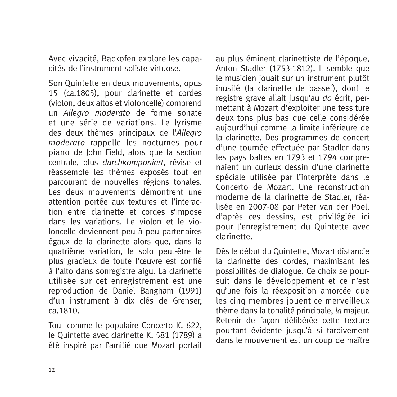Avec vivacité, Backofen explore les capacités de l'instrument soliste virtuose.

Son Quintette en deux mouvements, opus 15 (ca.1805), pour clarinette et cordes (violon, deux altos et violoncelle) comprend un *Allegro moderato* de forme sonate et une série de variations. Le lyrisme des deux thèmes principaux de l'*Allegro moderato* rappelle les nocturnes pour piano de John Field, alors que la section centrale, plus *durchkomponiert*, révise et réassemble les thèmes exposés tout en parcourant de nouvelles régions tonales. Les deux mouvements démontrent une attention portée aux textures et l'interaction entre clarinette et cordes s'impose dans les variations. Le violon et le violoncelle deviennent peu à peu partenaires égaux de la clarinette alors que, dans la quatrième variation, le solo peut-être le plus gracieux de toute l'œuvre est confié à l'alto dans sonregistre aigu. La clarinette utilisée sur cet enregistrement est une reproduction de Daniel Bangham (1991) d'un instrument à dix clés de Grenser, ca.1810.

Tout comme le populaire Concerto K. 622, le Quintette avec clarinette K. 581 (1789) a été inspiré par l'amitié que Mozart portait au plus éminent clarinettiste de l'époque, Anton Stadler (1753-1812). Il semble que le musicien jouait sur un instrument plutôt inusité (la clarinette de basset), dont le registre grave allait jusqu'au *do* écrit, permettant à Mozart d'exploiter une tessiture deux tons plus bas que celle considérée aujourd'hui comme la limite inférieure de la clarinette. Des programmes de concert d'une tournée effectuée par Stadler dans les pays baltes en 1793 et 1794 comprenaient un curieux dessin d'une clarinette spéciale utilisée par l'interprète dans le Concerto de Mozart. Une reconstruction moderne de la clarinette de Stadler, réalisée en 2007-08 par Peter van der Poel, d'après ces dessins, est privilégiée ici pour l'enregistrement du Quintette avec clarinette.

Dès le début du Quintette, Mozart distancie la clarinette des cordes, maximisant les possibilités de dialogue. Ce choix se poursuit dans le développement et ce n'est qu'une fois la réexposition amorcée que les cinq membres jouent ce merveilleux thème dans la tonalité principale, *la* majeur. Retenir de façon délibérée cette texture pourtant évidente jusqu'à si tardivement dans le mouvement est un coup de maître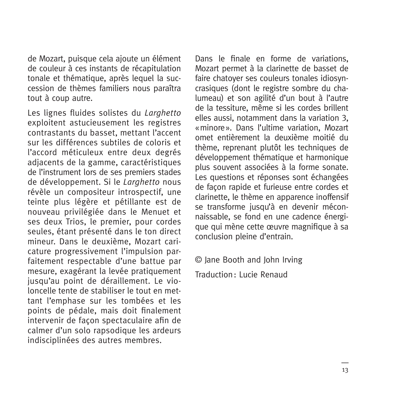de Mozart, puisque cela ajoute un élément de couleur à ces instants de récapitulation tonale et thématique, après lequel la succession de thèmes familiers nous paraîtra tout à coup autre.

Les lignes fluides solistes du *Larghetto* exploitent astucieusement les registres contrastants du basset, mettant l'accent sur les différences subtiles de coloris et l'accord méticuleux entre deux degrés adjacents de la gamme, caractéristiques de l'instrument lors de ses premiers stades de développement. Si le *Larghetto* nous révèle un compositeur introspectif, une teinte plus légère et pétillante est de nouveau privilégiée dans le Menuet et ses deux Trios, le premier, pour cordes seules, étant présenté dans le ton direct mineur. Dans le deuxième, Mozart caricature progressivement l'impulsion parfaitement respectable d'une battue par mesure, exagérant la levée pratiquement jusqu'au point de déraillement. Le violoncelle tente de stabiliser le tout en mettant l'emphase sur les tombées et les points de pédale, mais doit finalement intervenir de façon spectaculaire afin de calmer d'un solo rapsodique les ardeurs indisciplinées des autres membres.

Dans le finale en forme de variations, Mozart permet à la clarinette de basset de faire chatoyer ses couleurs tonales idiosyncrasiques (dont le registre sombre du chalumeau) et son agilité d'un bout à l'autre de la tessiture, même si les cordes brillent elles aussi, notamment dans la variation 3, « minore ». Dans l'ultime variation, Mozart omet entièrement la deuxième moitié du thème, reprenant plutôt les techniques de développement thématique et harmonique plus souvent associées à la forme sonate. Les questions et réponses sont échangées de façon rapide et furieuse entre cordes et clarinette, le thème en apparence inoffensif se transforme jusqu'à en devenir méconnaissable, se fond en une cadence énergique qui mène cette œuvre magnifique à sa conclusion pleine d'entrain.

© Jane Booth and John Irving Traduction : Lucie Renaud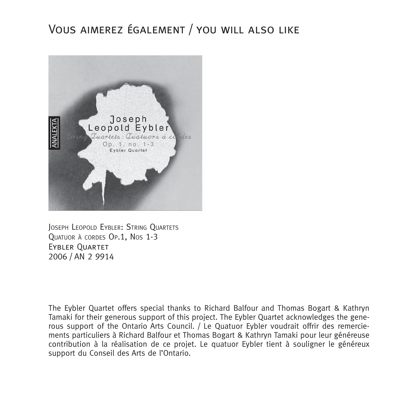### Vous aimerez également / you will also like



JOSEPH LEOPOLD EYBLER: STRING QUARTETS .<br>Quatuor à cordes Op.1, Nos 1-3 Eybler Quartet 2006 / AN 2 9914

The Eybler Quartet offers special thanks to Richard Balfour and Thomas Bogart & Kathryn Tamaki for their generous support of this project. The Eybler Quartet acknowledges the generous support of the Ontario Arts Council. / Le Quatuor Eybler voudrait offrir des remerciements particuliers à Richard Balfour et Thomas Bogart & Kathryn Tamaki pour leur généreuse contribution à la réalisation de ce projet. Le quatuor Eybler tient à souligner le généreux support du Conseil des Arts de l'Ontario.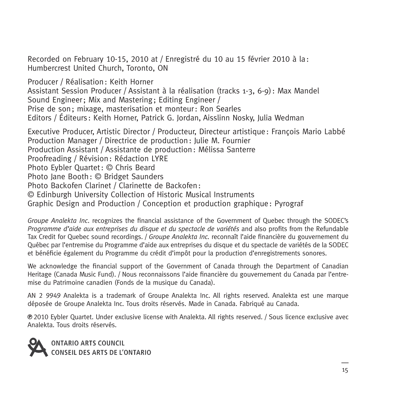Recorded on February 10-15, 2010 at / Enregistré du 10 au 15 février 2010 à la : Humbercrest United Church, Toronto, ON

Producer / Réalisation : Keith Horner Assistant Session Producer / Assistant à la réalisation (tracks 1-3, 6-9) : Max Mandel Sound Engineer; Mix and Mastering; Editing Engineer / Prise de son; mixage, masterisation et monteur: Ron Searles Editors / Éditeurs : Keith Horner, Patrick G. Jordan, Aisslinn Nosky, Julia Wedman Executive Producer, Artistic Director / Producteur, Directeur artistique : François Mario Labbé Production Manager / Directrice de production : Julie M. Fournier Production Assistant / Assistante de production : Mélissa Santerre Proofreading / Révision: Rédaction LYRE Photo Eybler Quartet : © Chris Beard Photo Jane Booth: © Bridget Saunders Photo Backofen Clarinet / Clarinette de Backofen : © Edinburgh University Collection of Historic Musical Instruments Graphic Design and Production / Conception et production graphique : Pyrograf

*Groupe Analekta Inc.* recognizes the financial assistance of the Government of Quebec through the SODEC's *Programme d'aide aux entreprises du disque et du spectacle de variétés* and also profits from the Refundable Tax Credit for Quebec sound recordings. / *Groupe Analekta Inc.* reconnaît l'aide financière du gouvernement du Québec par l'entremise du Programme d'aide aux entreprises du disque et du spectacle de variétés de la SODEC et bénéficie également du Programme du crédit d'impôt pour la production d'enregistrements sonores.

We acknowledge the financial support of the Government of Canada through the Department of Canadian Heritage (Canada Music Fund). / Nous reconnaissons l'aide financière du gouvernement du Canada par l'entremise du Patrimoine canadien (Fonds de la musique du Canada).

AN 2 9949 Analekta is a trademark of Groupe Analekta Inc. All rights reserved. Analekta est une marque déposée de Groupe Analekta Inc. Tous droits réservés. Made in Canada. Fabriqué au Canada.

 2010 Eybler Quartet. Under exclusive license with Analekta. All rights reserved. / Sous licence exclusive avec Analekta. Tous droits réservés.

**ONTARIO ARTS COUNCIL CONSEIL DES ARTS DE L'ONTARIO**